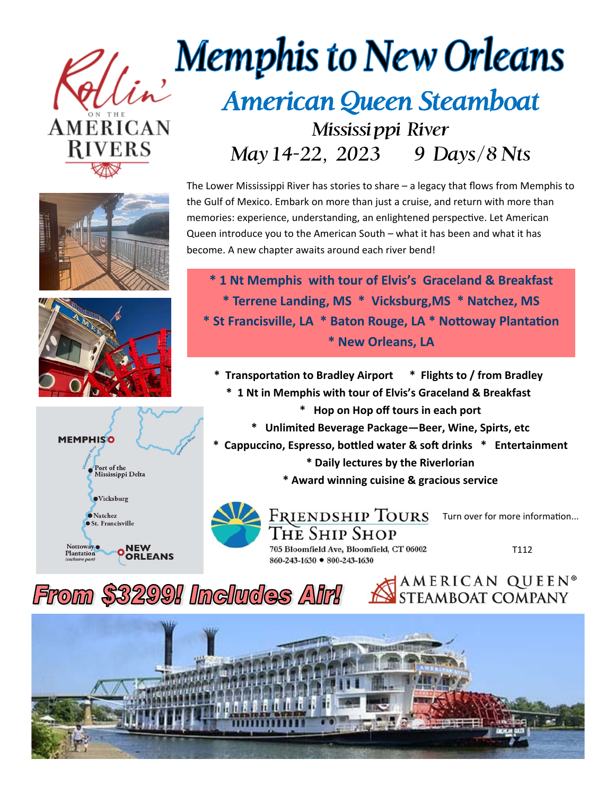







## **Memphis to New Orleans** American Queen Steamboat Mississi ppi River May 14-22, 2023 9 Days/8 Nts

The Lower Mississippi River has stories to share – a legacy that flows from Memphis to the Gulf of Mexico. Embark on more than just a cruise, and return with more than memories: experience, understanding, an enlightened perspective. Let American Queen introduce you to the American South – what it has been and what it has become. A new chapter awaits around each river bend!

**\* 1 Nt Memphis with tour of Elvis's Graceland & Breakfast \* Terrene Landing, MS \* Vicksburg,MS \* Natchez, MS \* St Francisville, LA \* Baton Rouge, LA \* Nottoway Plantation \* New Orleans, LA** 

**\* TransportaƟon to Bradley Airport \* Flights to / from Bradley** 

- **\* 1 Nt in Memphis with tour of Elvis's Graceland & Breakfast** 
	- **\* Hop on Hop off tours in each port**
	- **\* Unlimited Beverage Package—Beer, Wine, Spirts, etc**

**\* Cappuccino, Espresso, boƩled water & soŌ drinks \* Entertainment** 

- **\* Daily lectures by the Riverlorian**
- **\* Award winning cuisine & gracious service**



Turn over for more information...

AMERICAN QUEEN<sup>®</sup>

The Ship Shop 705 Bloomfield Ave, Bloomfield, CT 06002 860-243-1630 ● 800-243-1630

T112